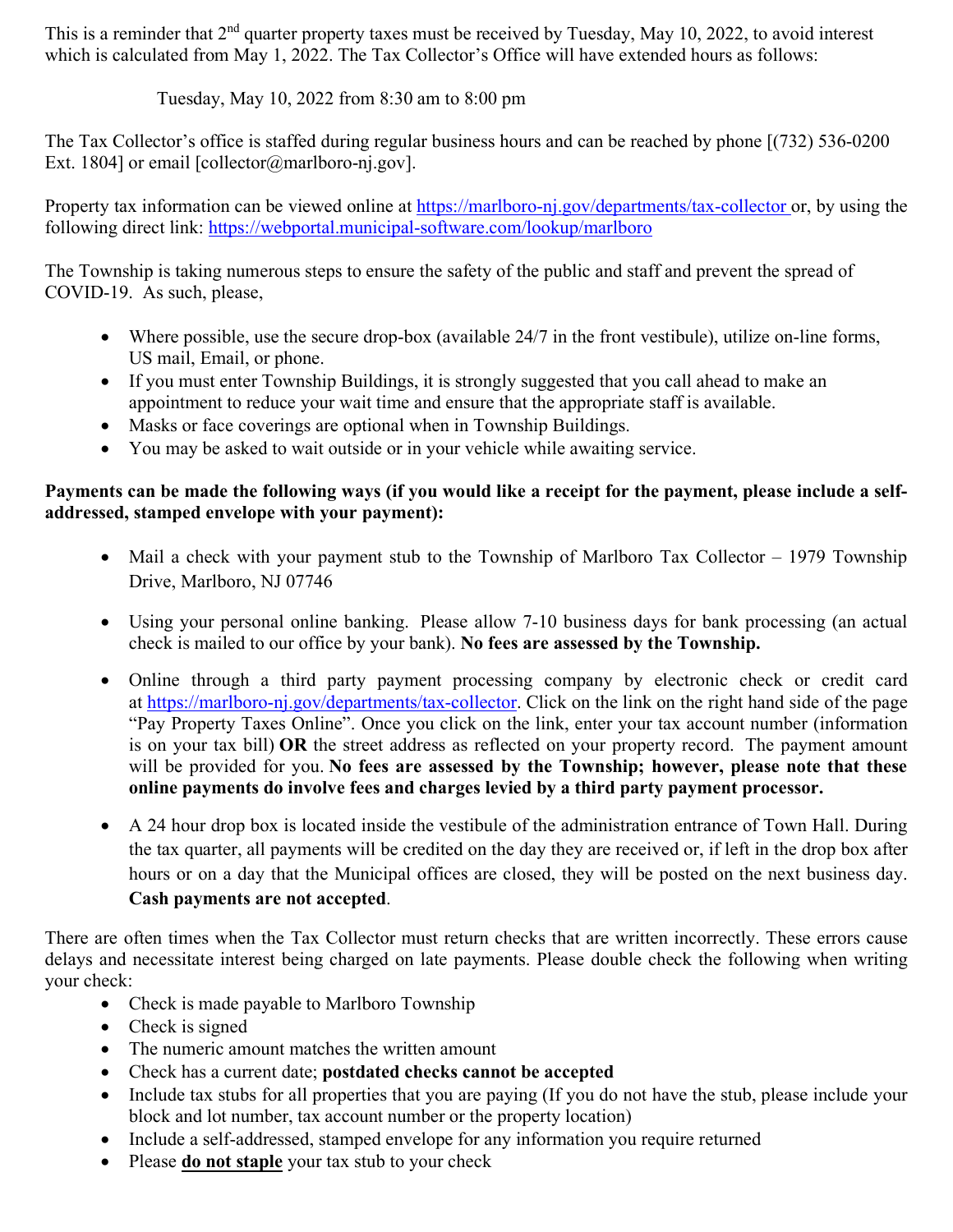This is a reminder that 2<sup>nd</sup> quarter property taxes must be received by Tuesday, May 10, 2022, to avoid interest which is calculated from May 1, 2022. The Tax Collector's Office will have extended hours as follows:

Tuesday, May 10, 2022 from 8:30 am to 8:00 pm

The Tax Collector's office is staffed during regular business hours and can be reached by phone [(732) 536-0200 Ext. 1804] or email  $[collector@manlboro-ni.gov]$ .

Property tax information can be viewed online at <https://marlboro-nj.gov/departments/tax-collector> or, by using the following direct link:<https://webportal.municipal-software.com/lookup/marlboro>

The Township is taking numerous steps to ensure the safety of the public and staff and prevent the spread of COVID-19. As such, please,

- Where possible, use the secure drop-box (available 24/7 in the front vestibule), utilize on-line forms, US mail, Email, or phone.
- If you must enter Township Buildings, it is strongly suggested that you call ahead to make an appointment to reduce your wait time and ensure that the appropriate staff is available.
- Masks or face coverings are optional when in Township Buildings.
- You may be asked to wait outside or in your vehicle while awaiting service.

## **Payments can be made the following ways (if you would like a receipt for the payment, please include a selfaddressed, stamped envelope with your payment):**

- Mail a check with your payment stub to the Township of Marlboro Tax Collector 1979 Township Drive, Marlboro, NJ 07746
- Using your personal online banking. Please allow 7-10 business days for bank processing (an actual check is mailed to our office by your bank). **No fees are assessed by the Township.**
- Online through a third party payment processing company by electronic check or credit card at [https://marlboro-nj.gov/departments/tax-collector.](https://marlboro-nj.gov/departments/tax-collector) Click on the link on the right hand side of the page "Pay Property Taxes Online". Once you click on the link, enter your tax account number (information is on your tax bill) **OR** the street address as reflected on your property record. The payment amount will be provided for you. **No fees are assessed by the Township; however, please note that these online payments do involve fees and charges levied by a third party payment processor.**
- A 24 hour drop box is located inside the vestibule of the administration entrance of Town Hall. During the tax quarter, all payments will be credited on the day they are received or, if left in the drop box after hours or on a day that the Municipal offices are closed, they will be posted on the next business day. **Cash payments are not accepted**.

There are often times when the Tax Collector must return checks that are written incorrectly. These errors cause delays and necessitate interest being charged on late payments. Please double check the following when writing your check:

- Check is made payable to Marlboro Township
- Check is signed
- The numeric amount matches the written amount
- Check has a current date; **postdated checks cannot be accepted**
- Include tax stubs for all properties that you are paying (If you do not have the stub, please include your block and lot number, tax account number or the property location)
- Include a self-addressed, stamped envelope for any information you require returned
- Please **do not staple** your tax stub to your check